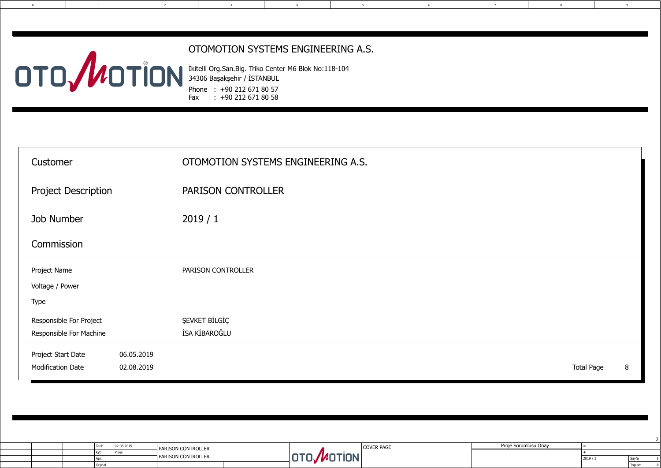Sayfa Toplam

|  | Taril.  | 02.08.2019 | <b>PARISON CONTROLLER</b>                        |        | COVER PAGE | Proje Sorumlusu Onay |  |
|--|---------|------------|--------------------------------------------------|--------|------------|----------------------|--|
|  | l Kvt   |            |                                                  |        |            |                      |  |
|  | Anr     |            | $\overline{\phantom{a}}$ DADICON .<br>CONTROLLE. | adiy 1 |            |                      |  |
|  | Orjinal |            |                                                  |        |            |                      |  |

0 1 6 7

8

2

2

| 5 <sub>5</sub><br>6<br>$\overline{4}$                                                           | $7\overline{ }$<br>8 | 9                                      |       |
|-------------------------------------------------------------------------------------------------|----------------------|----------------------------------------|-------|
|                                                                                                 |                      |                                        |       |
| ON SYSTEMS ENGINEERING A.S.                                                                     |                      |                                        |       |
| n.Blg. Triko Center M6 Blok No:118-104<br>ehir / İSTANBUL<br>0 212 671 80 57<br>0 212 671 80 58 |                      |                                        |       |
|                                                                                                 |                      |                                        |       |
| IN SYSTEMS ENGINEERING A.S.                                                                     |                      |                                        |       |
| <b>ONTROLLER</b>                                                                                |                      |                                        |       |
|                                                                                                 |                      |                                        |       |
|                                                                                                 |                      |                                        |       |
| ROLLER                                                                                          |                      |                                        |       |
|                                                                                                 |                      |                                        |       |
|                                                                                                 |                      |                                        |       |
|                                                                                                 |                      |                                        |       |
|                                                                                                 |                      | <b>Total Page</b><br>$\, 8$            |       |
|                                                                                                 |                      |                                        |       |
|                                                                                                 |                      |                                        |       |
|                                                                                                 |                      |                                        |       |
| OTO MOTION <sup>COVER PAGE</sup>                                                                | Proje Sorumlusu Onay | $\equiv$<br>$\boldsymbol{+}$<br>2019/1 | Sayfa |

| Customer                                                                   | OTOMOTION SYSTEMS ENGINEERING A.S.    |
|----------------------------------------------------------------------------|---------------------------------------|
| <b>Project Description</b>                                                 | <b>PARISON CONTROLLER</b>             |
| <b>Job Number</b>                                                          | 2019/1                                |
| Commission                                                                 |                                       |
| Project Name<br>Voltage / Power<br><b>Type</b>                             | PARISON CONTROLLER                    |
| Responsible For Project<br>Responsible For Machine                         | <b>ŞEVKET BİLGİÇ</b><br>İSA KİBAROĞLU |
| Project Start Date<br>06.05.2019<br><b>Modification Date</b><br>02.08.2019 |                                       |

+90 212 671 80 57 İkitelli Org.San.Blg. Triko Center M6 Blok No:118-104 Phone : Fax : +90 212 671 80 58 34306 Başakşehir / İSTANBUL

#### OTOMOTION SYSTEMS ENGINEERING A.S.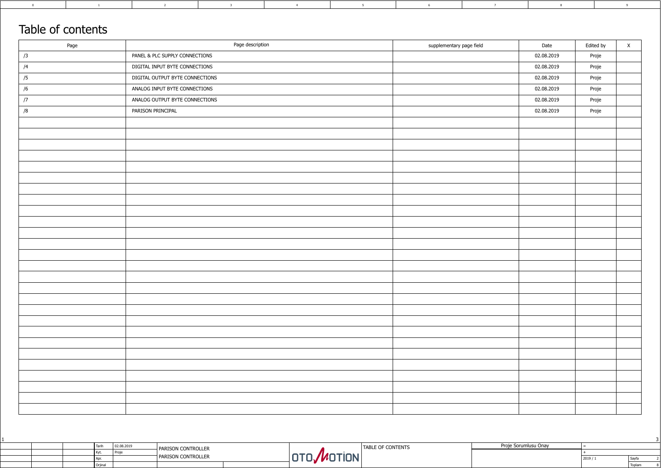|  | ' Taril.   | 02.08.2019 | - PARISON CONTROLLER | E OF CONTENTS<br><b>TABI</b> | Proie<br>Sorumlusu Onav |  |
|--|------------|------------|----------------------|------------------------------|-------------------------|--|
|  | <b>KVT</b> | l Pro      |                      |                              |                         |  |
|  | l Apr.     |            | 1 PARISON CONTROLLER | <b>IUN</b>                   |                         |  |
|  | l Orjina   |            |                      |                              |                         |  |

|                      |        |        | ت |
|----------------------|--------|--------|---|
| Proje Sorumlusu Onay | =      |        |   |
|                      |        |        |   |
|                      | 2019/1 | Sayfa  |   |
|                      |        | Toplam |   |

3 8 9

3

# $Table of contonto$

| Table of contents |                                 |                          |            |           |              |
|-------------------|---------------------------------|--------------------------|------------|-----------|--------------|
| Page              | Page description                | supplementary page field | Date       | Edited by | $\mathsf{X}$ |
| /3                | PANEL & PLC SUPPLY CONNECTIONS  |                          | 02.08.2019 | Proje     |              |
| /4                | DIGITAL INPUT BYTE CONNECTIONS  |                          | 02.08.2019 | Proje     |              |
| /5                | DIGITAL OUTPUT BYTE CONNECTIONS |                          | 02.08.2019 | Proje     |              |
| /6                | ANALOG INPUT BYTE CONNECTIONS   |                          | 02.08.2019 | Proje     |              |
| $\sqrt{7}$        | ANALOG OUTPUT BYTE CONNECTIONS  |                          | 02.08.2019 | Proje     |              |
| /8                | PARISON PRINCIPAL               |                          | 02.08.2019 | Proje     |              |
|                   |                                 |                          |            |           |              |
|                   |                                 |                          |            |           |              |
|                   |                                 |                          |            |           |              |
|                   |                                 |                          |            |           |              |
|                   |                                 |                          |            |           |              |
|                   |                                 |                          |            |           |              |
|                   |                                 |                          |            |           |              |
|                   |                                 |                          |            |           |              |
|                   |                                 |                          |            |           |              |
|                   |                                 |                          |            |           |              |
|                   |                                 |                          |            |           |              |
|                   |                                 |                          |            |           |              |
|                   |                                 |                          |            |           |              |
|                   |                                 |                          |            |           |              |
|                   |                                 |                          |            |           |              |
|                   |                                 |                          |            |           |              |
|                   |                                 |                          |            |           |              |
|                   |                                 |                          |            |           |              |
|                   |                                 |                          |            |           |              |
|                   |                                 |                          |            |           |              |
|                   |                                 |                          |            |           |              |
|                   |                                 |                          |            |           |              |
|                   |                                 |                          |            |           |              |
|                   |                                 |                          |            |           |              |
|                   |                                 |                          |            |           |              |
|                   |                                 |                          |            |           |              |
|                   |                                 |                          |            |           |              |
|                   |                                 |                          |            |           |              |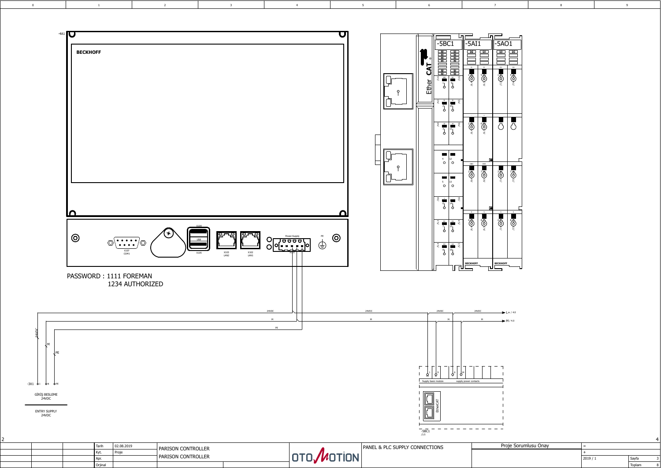Orjinal

| 2019/1 | Sayfa  | ◡ |
|--------|--------|---|
|        | Toplam | ŏ |

<span id="page-2-0"></span>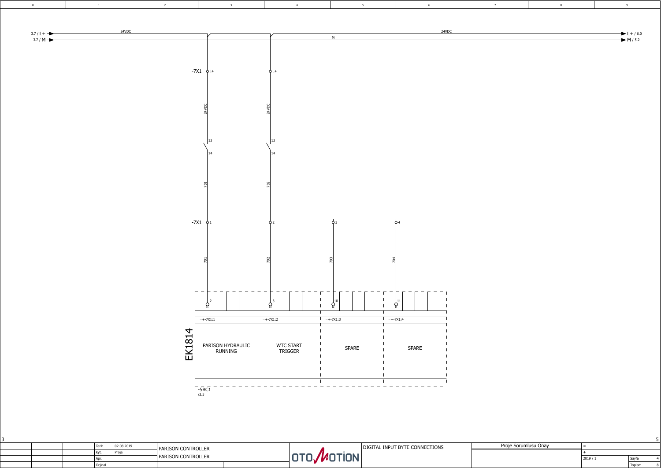|  | I Tarih | 02.08.2019 | –I PARISON CONTROLLER      |            | DIGITAL INPUT BYTE CONNECTIONS | Sorumlusu Onav<br>Proje |  |
|--|---------|------------|----------------------------|------------|--------------------------------|-------------------------|--|
|  | I Kvt   | I Proj     |                            |            |                                |                         |  |
|  |         |            | <b>TPARISON CONTROLLER</b> | <b>IUN</b> |                                |                         |  |
|  | Orjinal |            |                            |            |                                |                         |  |

| Proje Sorumlusu Onay |        |        |  |
|----------------------|--------|--------|--|
|                      |        |        |  |
|                      | 2019/1 | Sayfa  |  |
|                      |        | Toplam |  |

<span id="page-3-0"></span>

|  | ч                      |
|--|------------------------|
|  |                        |
|  |                        |
|  |                        |
|  |                        |
|  |                        |
|  | $L+ / 6.0$<br>$M/ 5.2$ |
|  |                        |
|  |                        |
|  |                        |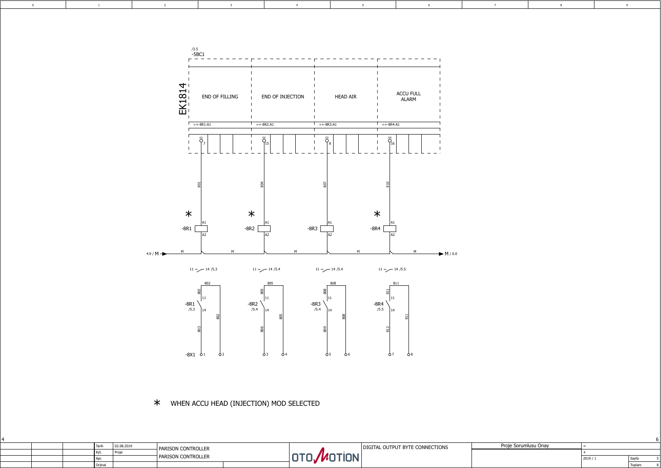| <b>Tarih</b> | 02.08.2019                                                       | <b>H</b> PARISON CONTROLLER |            | L OUTPUT BYTE CONNECTIONS<br>IAI | arnic<br>Sorumlusu Onav |  |
|--------------|------------------------------------------------------------------|-----------------------------|------------|----------------------------------|-------------------------|--|
|              | $\mathsf{F}$ $\mathsf{F}$ $\mathsf{F}$ $\mathsf{F}$ $\mathsf{F}$ |                             |            |                                  |                         |  |
| $\Delta$ mu  |                                                                  | T PARISON CONTROLLER        | <b>IUN</b> |                                  |                         |  |
| Orjinal      |                                                                  |                             |            |                                  |                         |  |

| Proje Sorumlusu Onay |        |        |  |
|----------------------|--------|--------|--|
|                      |        |        |  |
|                      | 2019/1 | Sayfa  |  |
|                      |        | Toplam |  |

<span id="page-4-0"></span>

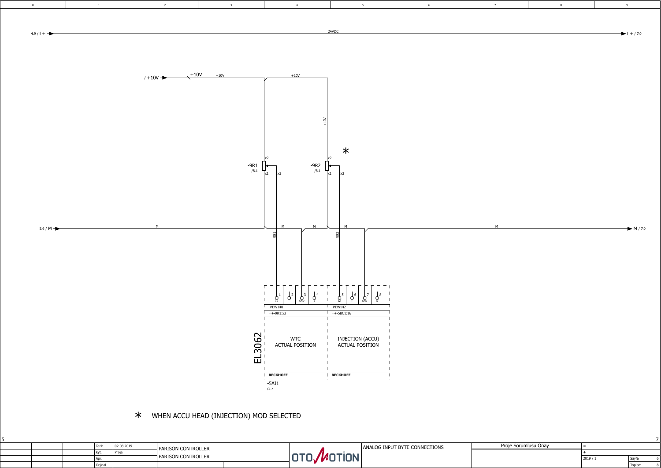|  |         | 02.08.2019 | - PARISON CONTROLLER               |            | ANALOG INPUT BYTE CONNECTIONS | J <sub>2</sub><br>ısu Onav |  |
|--|---------|------------|------------------------------------|------------|-------------------------------|----------------------------|--|
|  | Kyt.    |            |                                    |            |                               |                            |  |
|  | Apr.    |            | <b>CONTROLLER</b><br><b>PARISO</b> | <b>IUN</b> |                               |                            |  |
|  | Orjinal |            |                                    |            |                               |                            |  |

| Proje Sorumlusu Onay |        |        |  |
|----------------------|--------|--------|--|
|                      |        |        |  |
|                      | 2019/1 | Sayfa  |  |
|                      |        | Toplam |  |

<span id="page-5-0"></span>

|   | 8 | 9                             |
|---|---|-------------------------------|
|   |   |                               |
|   |   | $L + 7.0$                     |
|   |   |                               |
|   |   |                               |
|   |   |                               |
|   |   |                               |
|   |   |                               |
|   |   |                               |
|   |   |                               |
|   |   |                               |
|   |   |                               |
|   |   |                               |
|   |   |                               |
|   |   |                               |
|   |   |                               |
|   |   |                               |
|   |   |                               |
|   |   |                               |
|   |   |                               |
|   |   |                               |
| 1 |   | $\blacktriangleright$ M / 7.0 |
|   |   |                               |
|   |   |                               |
|   |   |                               |
|   |   |                               |
|   |   |                               |
|   |   |                               |
|   |   |                               |
|   |   |                               |
|   |   |                               |
|   |   |                               |
|   |   |                               |
|   |   |                               |
|   |   |                               |
|   |   |                               |
|   |   |                               |
|   |   |                               |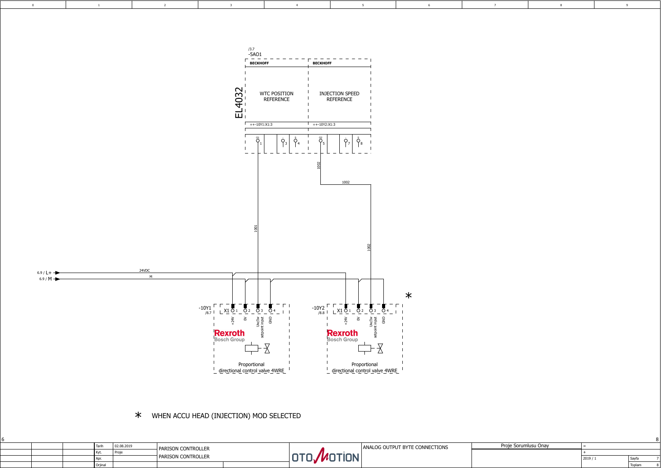|  | Taril     | 02.08.2019 | - PARISON CONTROLLER |  | ANALOG OUTPUT BYTE CONNECTIONS | Proie<br>`orumlusu Onay |  |
|--|-----------|------------|----------------------|--|--------------------------------|-------------------------|--|
|  |           | l Pro      |                      |  |                                |                         |  |
|  | l Anr     |            | 1 PARISON CONTROLLER |  |                                |                         |  |
|  | l Orjina. |            |                      |  |                                |                         |  |

| Proje Sorumlusu Onay |        |        |  |
|----------------------|--------|--------|--|
|                      |        |        |  |
|                      | 2019/1 | Sayfa  |  |
|                      |        | Toplam |  |

<span id="page-6-0"></span>